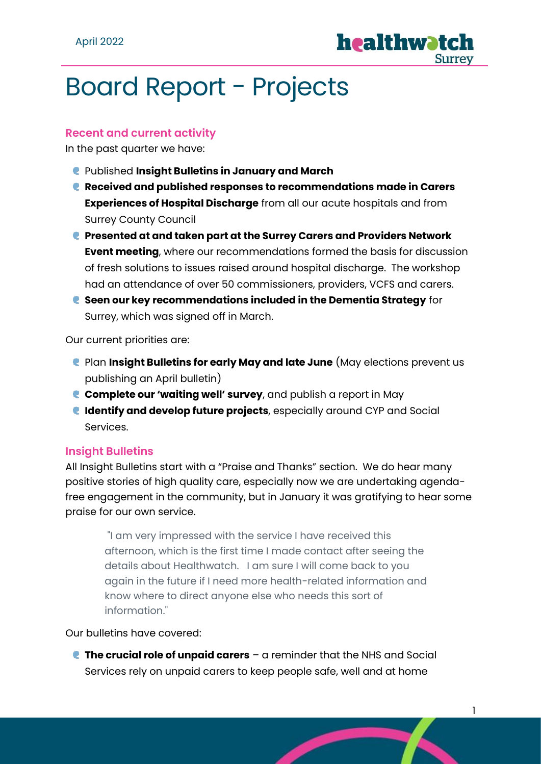

# Board Report - Projects

#### **Recent and current activity**

In the past quarter we have:

- Published **Insight Bulletins in January and March**
- **Received and published responses to recommendations made in Carers Experiences of Hospital Discharge** from all our acute hospitals and from Surrey County Council
- **Presented at and taken part at the Surrey Carers and Providers Network Event meeting**, where our recommendations formed the basis for discussion of fresh solutions to issues raised around hospital discharge. The workshop had an attendance of over 50 commissioners, providers, VCFS and carers.
- **Seen our key recommendations included in the Dementia Strategy** for Surrey, which was signed off in March.

Our current priorities are:

- Plan **Insight Bulletins for early May and late June** (May elections prevent us publishing an April bulletin)
- **Complete our 'waiting well' survey**, and publish a report in May
- **Identify and develop future projects**, especially around CYP and Social Services.

#### **Insight Bulletins**

All Insight Bulletins start with a "Praise and Thanks" section. We do hear many positive stories of high quality care, especially now we are undertaking agendafree engagement in the community, but in January it was gratifying to hear some praise for our own service.

"I am very impressed with the service I have received this afternoon, which is the first time I made contact after seeing the details about Healthwatch. I am sure I will come back to you again in the future if I need more health-related information and know where to direct anyone else who needs this sort of information."

Our bulletins have covered:

**The crucial role of unpaid carers** – a reminder that the NHS and Social Services rely on unpaid carers to keep people safe, well and at home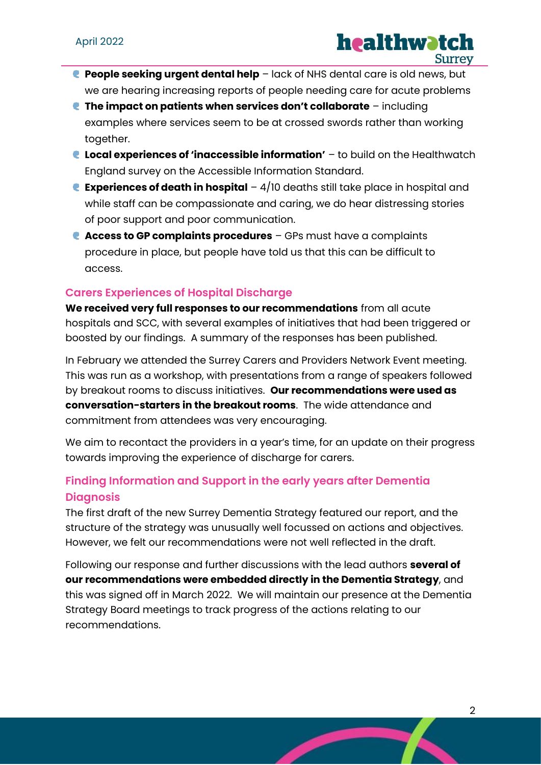- **People seeking urgent dental help** lack of NHS dental care is old news, but we are hearing increasing reports of people needing care for acute problems
- **The impact on patients when services don't collaborate** including examples where services seem to be at crossed swords rather than working together.
- **Local experiences of 'inaccessible information'** to build on the Healthwatch England survey on the Accessible Information Standard.
- **Experiences of death in hospital** 4/10 deaths still take place in hospital and while staff can be compassionate and caring, we do hear distressing stories of poor support and poor communication.
- **Access to GP complaints procedures** GPs must have a complaints procedure in place, but people have told us that this can be difficult to access.

### **Carers Experiences of Hospital Discharge**

**We received very full responses to our recommendations** from all acute hospitals and SCC, with several examples of initiatives that had been triggered or boosted by our findings. A summary of the responses has been published.

In February we attended the Surrey Carers and Providers Network Event meeting. This was run as a workshop, with presentations from a range of speakers followed by breakout rooms to discuss initiatives. **Our recommendations were used as conversation-starters in the breakout rooms**. The wide attendance and commitment from attendees was very encouraging.

We aim to recontact the providers in a year's time, for an update on their progress towards improving the experience of discharge for carers.

# **Finding Information and Support in the early years after Dementia Diagnosis**

The first draft of the new Surrey Dementia Strategy featured our report, and the structure of the strategy was unusually well focussed on actions and objectives. However, we felt our recommendations were not well reflected in the draft.

Following our response and further discussions with the lead authors **several of our recommendations were embedded directly in the Dementia Strategy**, and this was signed off in March 2022. We will maintain our presence at the Dementia Strategy Board meetings to track progress of the actions relating to our recommendations.